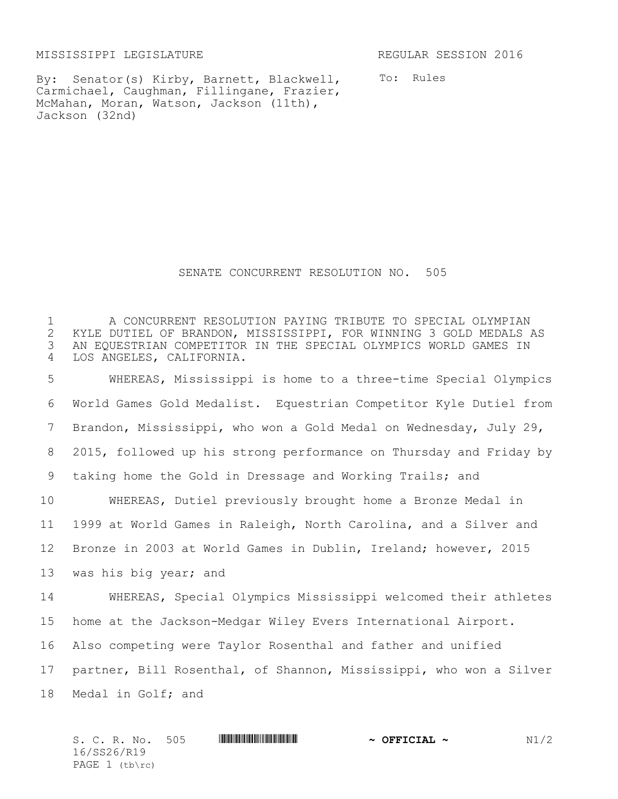MISSISSIPPI LEGISLATURE REGULAR SESSION 2016

By: Senator(s) Kirby, Barnett, Blackwell, Carmichael, Caughman, Fillingane, Frazier, McMahan, Moran, Watson, Jackson (11th), Jackson (32nd)

To: Rules

SENATE CONCURRENT RESOLUTION NO. 505

1 The CONCURRENT RESOLUTION PAYING TRIBUTE TO SPECIAL OLYMPIAN<br>2 KYLE DUTIEL OF BRANDON, MISSISSIPPI, FOR WINNING 3 GOLD MEDALS 2 KYLE DUTIEL OF BRANDON, MISSISSIPPI, FOR WINNING 3 GOLD MEDALS AS<br>3 AN EQUESTRIAN COMPETITOR IN THE SPECIAL OLYMPICS WORLD GAMES IN AN EQUESTRIAN COMPETITOR IN THE SPECIAL OLYMPICS WORLD GAMES IN LOS ANGELES, CALIFORNIA. WHEREAS, Mississippi is home to a three-time Special Olympics World Games Gold Medalist. Equestrian Competitor Kyle Dutiel from Brandon, Mississippi, who won a Gold Medal on Wednesday, July 29, 2015, followed up his strong performance on Thursday and Friday by taking home the Gold in Dressage and Working Trails; and WHEREAS, Dutiel previously brought home a Bronze Medal in 1999 at World Games in Raleigh, North Carolina, and a Silver and Bronze in 2003 at World Games in Dublin, Ireland; however, 2015 was his big year; and WHEREAS, Special Olympics Mississippi welcomed their athletes home at the Jackson-Medgar Wiley Evers International Airport. Also competing were Taylor Rosenthal and father and unified partner, Bill Rosenthal, of Shannon, Mississippi, who won a Silver Medal in Golf; and

S. C. R. No. 505 **ANNIFORM CONTRACT ALL AND A OFFICIAL ~** N1/2 16/SS26/R19 PAGE (tb\rc)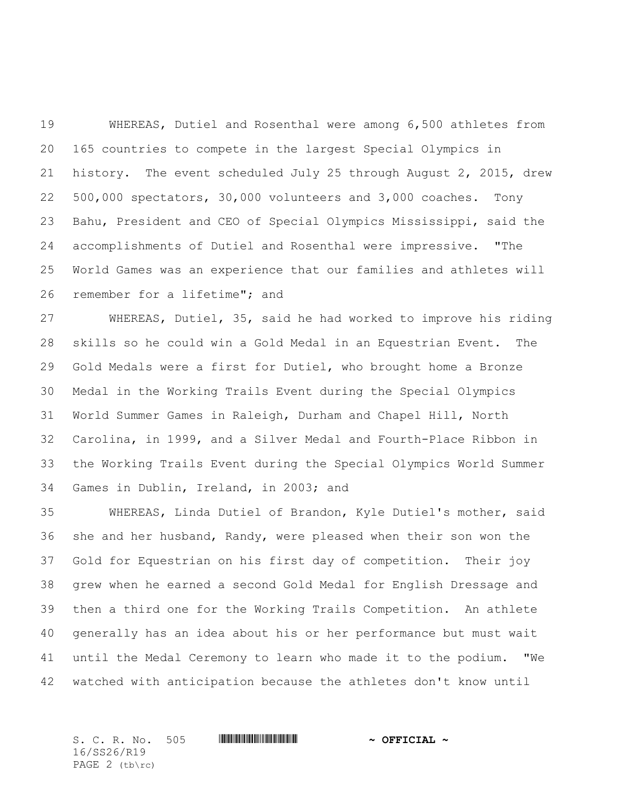WHEREAS, Dutiel and Rosenthal were among 6,500 athletes from 165 countries to compete in the largest Special Olympics in history. The event scheduled July 25 through August 2, 2015, drew 500,000 spectators, 30,000 volunteers and 3,000 coaches. Tony Bahu, President and CEO of Special Olympics Mississippi, said the accomplishments of Dutiel and Rosenthal were impressive. "The World Games was an experience that our families and athletes will remember for a lifetime"; and

 WHEREAS, Dutiel, 35, said he had worked to improve his riding skills so he could win a Gold Medal in an Equestrian Event. The Gold Medals were a first for Dutiel, who brought home a Bronze Medal in the Working Trails Event during the Special Olympics World Summer Games in Raleigh, Durham and Chapel Hill, North Carolina, in 1999, and a Silver Medal and Fourth-Place Ribbon in the Working Trails Event during the Special Olympics World Summer Games in Dublin, Ireland, in 2003; and

 WHEREAS, Linda Dutiel of Brandon, Kyle Dutiel's mother, said she and her husband, Randy, were pleased when their son won the Gold for Equestrian on his first day of competition. Their joy grew when he earned a second Gold Medal for English Dressage and then a third one for the Working Trails Competition. An athlete generally has an idea about his or her performance but must wait until the Medal Ceremony to learn who made it to the podium. "We watched with anticipation because the athletes don't know until

S. C. R. No. 505 **WILL AND ALLEST AND A OFFICIAL ~** 16/SS26/R19 PAGE (tb\rc)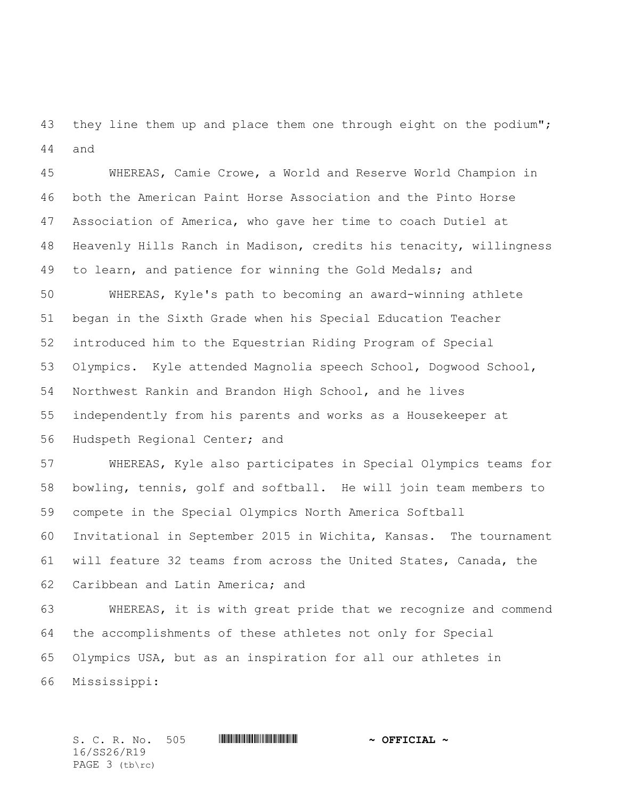43 they line them up and place them one through eight on the podium"; and

 WHEREAS, Camie Crowe, a World and Reserve World Champion in both the American Paint Horse Association and the Pinto Horse Association of America, who gave her time to coach Dutiel at Heavenly Hills Ranch in Madison, credits his tenacity, willingness to learn, and patience for winning the Gold Medals; and

 WHEREAS, Kyle's path to becoming an award-winning athlete began in the Sixth Grade when his Special Education Teacher introduced him to the Equestrian Riding Program of Special Olympics. Kyle attended Magnolia speech School, Dogwood School, Northwest Rankin and Brandon High School, and he lives independently from his parents and works as a Housekeeper at Hudspeth Regional Center; and

 WHEREAS, Kyle also participates in Special Olympics teams for bowling, tennis, golf and softball. He will join team members to compete in the Special Olympics North America Softball Invitational in September 2015 in Wichita, Kansas. The tournament will feature 32 teams from across the United States, Canada, the Caribbean and Latin America; and

 WHEREAS, it is with great pride that we recognize and commend the accomplishments of these athletes not only for Special Olympics USA, but as an inspiration for all our athletes in Mississippi:

S. C. R. No. 505 **WILL AND ALLEST AND A OFFICIAL ~** 16/SS26/R19 PAGE 3 (tb\rc)